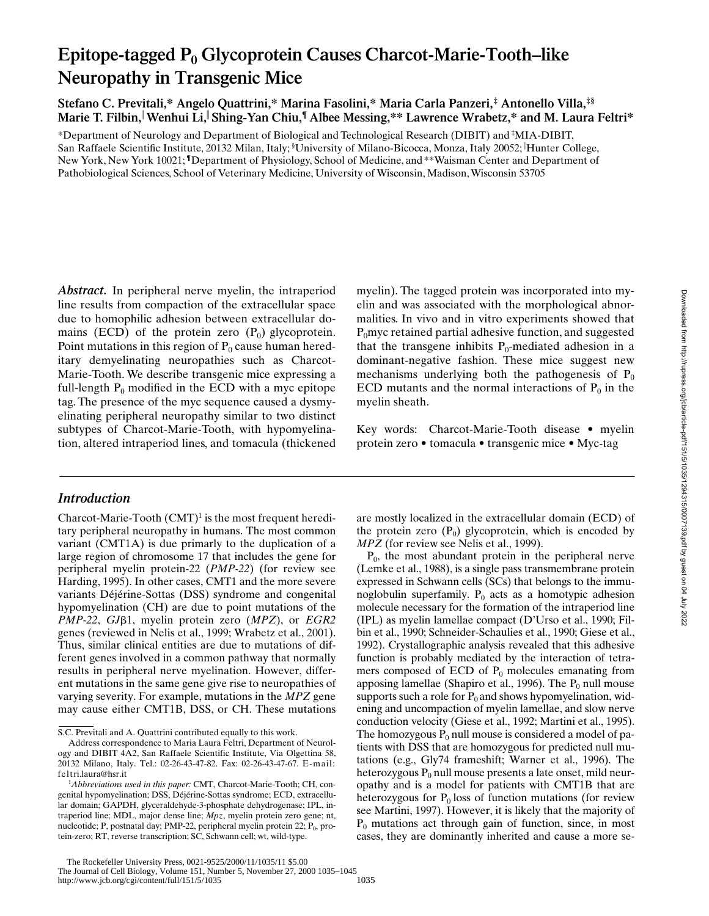# Epitope-tagged P<sub>0</sub> Glycoprotein Causes Charcot-Marie-Tooth–like **Neuropathy in Transgenic Mice**

**Stefano C. Previtali,\* Angelo Quattrini,\* Marina Fasolini,\* Maria Carla Panzeri,‡ Antonello Villa,‡§ Marie T. Filbin,**<sup>i</sup>**Wenhui Li,**<sup>i</sup>**Shing-Yan Chiu,¶ Albee Messing,\*\* Lawrence Wrabetz,\* and M. Laura Feltri\***

\*Department of Neurology and Department of Biological and Technological Research (DIBIT) and ‡ MIA-DIBIT, San Raffaele Scientific Institute, 20132 Milan, Italy; § University of Milano-Bicocca, Monza, Italy 20052; <sup>i</sup> Hunter College, New York, New York 10021; **¶**Department of Physiology, School of Medicine, and\*\*Waisman Center and Department of Pathobiological Sciences, School of Veterinary Medicine, University of Wisconsin, Madison, Wisconsin 53705

*Abstract.* In peripheral nerve myelin, the intraperiod line results from compaction of the extracellular space due to homophilic adhesion between extracellular domains (ECD) of the protein zero  $(P_0)$  glycoprotein. Point mutations in this region of  $P_0$  cause human hereditary demyelinating neuropathies such as Charcot-Marie-Tooth. We describe transgenic mice expressing a full-length  $P_0$  modified in the ECD with a myc epitope tag. The presence of the myc sequence caused a dysmyelinating peripheral neuropathy similar to two distinct subtypes of Charcot-Marie-Tooth, with hypomyelination, altered intraperiod lines, and tomacula (thickened

## *Introduction*

Charcot-Marie-Tooth  $(CMT)^1$  is the most frequent hereditary peripheral neuropathy in humans. The most common variant (CMT1A) is due primarly to the duplication of a large region of chromosome 17 that includes the gene for peripheral myelin protein-22 (*PMP-22*) (for review see Harding, 1995). In other cases, CMT1 and the more severe variants Déjérine-Sottas (DSS) syndrome and congenital hypomyelination (CH) are due to point mutations of the *PMP-22*, *GJ*b1, myelin protein zero (*MPZ*), or *EGR2* genes (reviewed in Nelis et al., 1999; Wrabetz et al., 2001). Thus, similar clinical entities are due to mutations of different genes involved in a common pathway that normally results in peripheral nerve myelination. However, different mutations in the same gene give rise to neuropathies of varying severity. For example, mutations in the *MPZ* gene may cause either CMT1B, DSS, or CH. These mutations myelin). The tagged protein was incorporated into myelin and was associated with the morphological abnormalities. In vivo and in vitro experiments showed that  $P_0$ myc retained partial adhesive function, and suggested that the transgene inhibits  $P_0$ -mediated adhesion in a dominant-negative fashion. These mice suggest new mechanisms underlying both the pathogenesis of  $P_0$ ECD mutants and the normal interactions of  $P_0$  in the myelin sheath.

Key words: Charcot-Marie-Tooth disease • myelin protein zero • tomacula • transgenic mice • Myc-tag

are mostly localized in the extracellular domain (ECD) of the protein zero  $(P_0)$  glycoprotein, which is encoded by *MPZ* (for review see Nelis et al., 1999).

 $P_0$ , the most abundant protein in the peripheral nerve (Lemke et al., 1988), is a single pass transmembrane protein expressed in Schwann cells (SCs) that belongs to the immunoglobulin superfamily.  $P_0$  acts as a homotypic adhesion molecule necessary for the formation of the intraperiod line (IPL) as myelin lamellae compact (D'Urso et al., 1990; Filbin et al., 1990; Schneider-Schaulies et al., 1990; Giese et al., 1992). Crystallographic analysis revealed that this adhesive function is probably mediated by the interaction of tetramers composed of ECD of  $P_0$  molecules emanating from apposing lamellae (Shapiro et al., 1996). The  $P_0$  null mouse supports such a role for  $P_0$  and shows hypomyelination, widening and uncompaction of myelin lamellae, and slow nerve conduction velocity (Giese et al., 1992; Martini et al., 1995). The homozygous  $P_0$  null mouse is considered a model of patients with DSS that are homozygous for predicted null mutations (e.g., Gly74 frameshift; Warner et al., 1996). The heterozygous  $P_0$  null mouse presents a late onset, mild neuropathy and is a model for patients with CMT1B that are heterozygous for  $P_0$  loss of function mutations (for review see Martini, 1997). However, it is likely that the majority of  $P_0$  mutations act through gain of function, since, in most cases, they are dominantly inherited and cause a more se-

S.C. Previtali and A. Quattrini contributed equally to this work.

Address correspondence to Maria Laura Feltri, Department of Neurology and DIBIT 4A2, San Raffaele Scientific Institute, Via Olgettina 58, 20132 Milano, Italy. Tel.: 02-26-43-47-82. Fax: 02-26-43-47-67. E-mail: feltri.laura@hsr.it

<sup>1</sup> *Abbreviations used in this paper:* CMT, Charcot-Marie-Tooth; CH, congenital hypomyelination; DSS, Déjérine-Sottas syndrome; ECD, extracellular domain; GAPDH, glyceraldehyde-3-phosphate dehydrogenase; IPL, intraperiod line; MDL, major dense line; *Mpz*, myelin protein zero gene; nt, nucleotide; P, postnatal day; PMP-22, peripheral myelin protein 22; P<sub>0</sub>, protein-zero; RT, reverse transcription; SC, Schwann cell; wt, wild-type.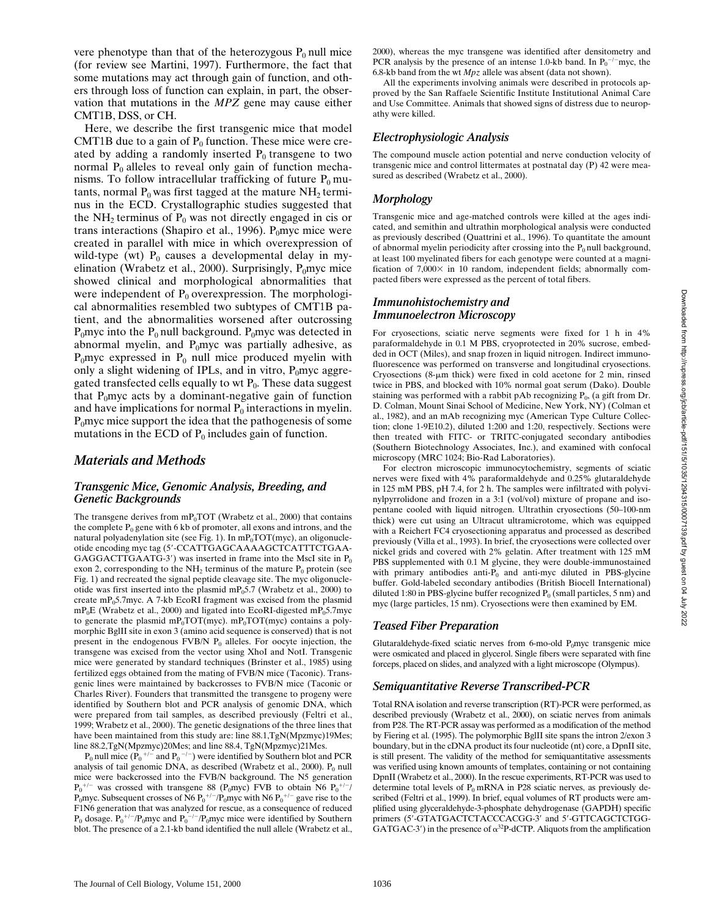vere phenotype than that of the heterozygous  $P_0$  null mice (for review see Martini, 1997). Furthermore, the fact that some mutations may act through gain of function, and others through loss of function can explain, in part, the observation that mutations in the *MPZ* gene may cause either CMT1B, DSS, or CH.

Here, we describe the first transgenic mice that model CMT1B due to a gain of  $P_0$  function. These mice were created by adding a randomly inserted  $P_0$  transgene to two normal  $P_0$  alleles to reveal only gain of function mechanisms. To follow intracellular trafficking of future  $P_0$  mutants, normal  $P_0$  was first tagged at the mature NH<sub>2</sub> terminus in the ECD. Crystallographic studies suggested that the NH<sub>2</sub> terminus of  $P_0$  was not directly engaged in cis or trans interactions (Shapiro et al., 1996).  $P_0$ myc mice were created in parallel with mice in which overexpression of wild-type (wt)  $P_0$  causes a developmental delay in myelination (Wrabetz et al., 2000). Surprisingly,  $P_0$ myc mice showed clinical and morphological abnormalities that were independent of  $P_0$  overexpression. The morphological abnormalities resembled two subtypes of CMT1B patient, and the abnormalities worsened after outcrossing  $P_0$ myc into the  $P_0$  null background.  $P_0$ myc was detected in abnormal myelin, and  $P_0$ myc was partially adhesive, as  $P_0$ myc expressed in  $P_0$  null mice produced myelin with only a slight widening of IPLs, and in vitro,  $P_0$ myc aggregated transfected cells equally to wt  $P_0$ . These data suggest that  $P_0$ myc acts by a dominant-negative gain of function and have implications for normal  $P_0$  interactions in myelin.  $P_0$ myc mice support the idea that the pathogenesis of some mutations in the ECD of  $P_0$  includes gain of function.

## *Materials and Methods*

#### *Transgenic Mice, Genomic Analysis, Breeding, and Genetic Backgrounds*

The transgene derives from  $mP_0TOT$  (Wrabetz et al., 2000) that contains the complete  $P_0$  gene with 6 kb of promoter, all exons and introns, and the natural polyadenylation site (see Fig. 1). In  $mP_0TOT(myc)$ , an oligonucleotide encoding myc tag (5'-CCATTGAGCAAAAGCTCATTTCTGAA-GAGGACTTGAATG-3') was inserted in frame into the MscI site in  $P_0$ exon 2, corresponding to the NH<sub>2</sub> terminus of the mature  $P_0$  protein (see Fig. 1) and recreated the signal peptide cleavage site. The myc oligonucleotide was first inserted into the plasmid  $mP_05.7$  (Wrabetz et al., 2000) to create mP $_0$ 5.7myc. A 7-kb EcoRI fragment was excised from the plasmid  $mP_0E$  (Wrabetz et al., 2000) and ligated into EcoRI-digested  $mP_05.7$ myc to generate the plasmid mP<sub>0</sub>TOT(myc). mP<sub>0</sub>TOT(myc) contains a polymorphic BglII site in exon 3 (amino acid sequence is conserved) that is not present in the endogenous FVB/N  $P_0$  alleles. For oocyte injection, the transgene was excised from the vector using XhoI and NotI. Transgenic mice were generated by standard techniques (Brinster et al., 1985) using fertilized eggs obtained from the mating of FVB/N mice (Taconic). Transgenic lines were maintained by backcrosses to FVB/N mice (Taconic or Charles River). Founders that transmitted the transgene to progeny were identified by Southern blot and PCR analysis of genomic DNA, which were prepared from tail samples, as described previously (Feltri et al., 1999; Wrabetz et al., 2000). The genetic designations of the three lines that have been maintained from this study are: line 88.1,TgN(Mpzmyc)19Mes; line 88.2,TgN(Mpzmyc)20Mes; and line 88.4, TgN(Mpzmyc)21Mes.

 $P_0$  null mice  $(P_0^{\ +/-}$  and  $P_0^{\ -/-})$  were identified by Southern blot and PCR analysis of tail genomic DNA, as described (Wrabetz et al., 2000).  $P_0$  null mice were backcrossed into the FVB/N background. The N5 generation  $P_0^{+/-}$  was crossed with transgene 88 (P<sub>0</sub>myc) FVB to obtain N6  $P_0^{+/-}$ / P<sub>0</sub>myc. Subsequent crosses of N6  $P_0^{+/-}/P_0$ myc with N6  $P_0^{+/-}$  gave rise to the F1N6 generation that was analyzed for rescue, as a consequence of reduced  $P_0$  dosage.  $P_0^{+/-}/P_0$ myc and  $P_0^{-/-}/P_0$ myc mice were identified by Southern blot. The presence of a 2.1-kb band identified the null allele (Wrabetz et al., 2000), whereas the myc transgene was identified after densitometry and PCR analysis by the presence of an intense 1.0-kb band. In  $P_0^{-/-}$ myc, the 6.8-kb band from the wt *Mpz* allele was absent (data not shown).

All the experiments involving animals were described in protocols approved by the San Raffaele Scientific Institute Institutional Animal Care and Use Committee. Animals that showed signs of distress due to neuropathy were killed.

## *Electrophysiologic Analysis*

The compound muscle action potential and nerve conduction velocity of transgenic mice and control littermates at postnatal day (P) 42 were measured as described (Wrabetz et al., 2000).

## *Morphology*

Transgenic mice and age-matched controls were killed at the ages indicated, and semithin and ultrathin morphological analysis were conducted as previously described (Quattrini et al., 1996). To quantitate the amount of abnormal myelin periodicity after crossing into the  $P_0$  null background, at least 100 myelinated fibers for each genotype were counted at a magnification of  $7,000\times$  in 10 random, independent fields; abnormally compacted fibers were expressed as the percent of total fibers.

#### *Immunohistochemistry and Immunoelectron Microscopy*

For cryosections, sciatic nerve segments were fixed for 1 h in 4% paraformaldehyde in 0.1 M PBS, cryoprotected in 20% sucrose, embedded in OCT (Miles), and snap frozen in liquid nitrogen. Indirect immunofluorescence was performed on transverse and longitudinal cryosections. Cryosections (8- $\mu$ m thick) were fixed in cold acetone for 2 min, rinsed twice in PBS, and blocked with 10% normal goat serum (Dako). Double staining was performed with a rabbit pAb recognizing  $P_0$ , (a gift from Dr. D. Colman, Mount Sinai School of Medicine, New York, NY) (Colman et al., 1982), and an mAb recognizing myc (American Type Culture Collection; clone 1-9E10.2), diluted 1:200 and 1:20, respectively. Sections were then treated with FITC- or TRITC-conjugated secondary antibodies (Southern Biotechnology Associates, Inc.), and examined with confocal microscopy (MRC 1024; Bio-Rad Laboratories).

For electron microscopic immunocytochemistry, segments of sciatic nerves were fixed with 4% paraformaldehyde and 0.25% glutaraldehyde in 125 mM PBS, pH 7.4, for 2 h. The samples were infiltrated with polyvinylpyrrolidone and frozen in a 3:1 (vol/vol) mixture of propane and isopentane cooled with liquid nitrogen. Ultrathin cryosections (50–100-nm thick) were cut using an Ultracut ultramicrotome, which was equipped with a Reichert FC4 cryosectioning apparatus and processed as described previously (Villa et al., 1993). In brief, the cryosections were collected over nickel grids and covered with 2% gelatin. After treatment with 125 mM PBS supplemented with 0.1 M glycine, they were double-immunostained with primary antibodies anti- $P_0$  and anti-myc diluted in PBS-glycine buffer. Gold-labeled secondary antibodies (British Biocell International) diluted 1:80 in PBS-glycine buffer recognized  $P_0$  (small particles, 5 nm) and myc (large particles, 15 nm). Cryosections were then examined by EM.

## *Teased Fiber Preparation*

Glutaraldehyde-fixed sciatic nerves from 6-mo-old  $P_0$ myc transgenic mice were osmicated and placed in glycerol. Single fibers were separated with fine forceps, placed on slides, and analyzed with a light microscope (Olympus).

## *Semiquantitative Reverse Transcribed-PCR*

Total RNA isolation and reverse transcription (RT)-PCR were performed, as described previously (Wrabetz et al., 2000), on sciatic nerves from animals from P28. The RT-PCR assay was performed as a modification of the method by Fiering et al. (1995). The polymorphic BglII site spans the intron 2/exon 3 boundary, but in the cDNA product its four nucleotide (nt) core, a DpnII site, is still present. The validity of the method for semiquantitative assessments was verified using known amounts of templates, containing or not containing DpnII (Wrabetz et al., 2000). In the rescue experiments, RT-PCR was used to determine total levels of  $P_0$  mRNA in P28 sciatic nerves, as previously described (Feltri et al., 1999). In brief, equal volumes of RT products were amplified using glyceraldehyde-3-phosphate dehydrogenase (GAPDH) specific primers (5'-GTATGACTCTACCCACGG-3' and 5'-GTTCAGCTCTGG-GATGAC-3') in the presence of  $\alpha^{32}P$ -dCTP. Aliquots from the amplification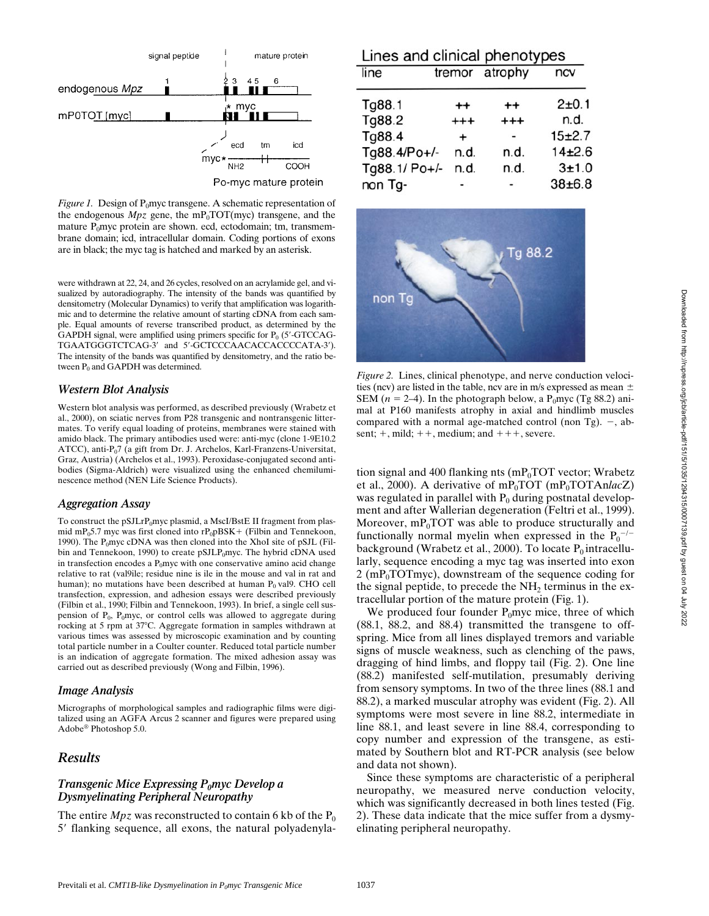

*Figure 1.* Design of P<sub>0</sub>myc transgene. A schematic representation of the endogenous  $Mpz$  gene, the mP<sub>0</sub>TOT(myc) transgene, and the mature  $P_0$ myc protein are shown. ecd, ectodomain; tm, transmembrane domain; icd, intracellular domain. Coding portions of exons are in black; the myc tag is hatched and marked by an asterisk.

were withdrawn at 22, 24, and 26 cycles, resolved on an acrylamide gel, and visualized by autoradiography. The intensity of the bands was quantified by densitometry (Molecular Dynamics) to verify that amplification was logarithmic and to determine the relative amount of starting cDNA from each sample. Equal amounts of reverse transcribed product, as determined by the GAPDH signal, were amplified using primers specific for  $P_0$  (5'-GTCCAG-TGAATGGGTCTCAG-3' and 5'-GCTCCCAACACCACCCCATA-3'). The intensity of the bands was quantified by densitometry, and the ratio between  $P_0$  and GAPDH was determined.

#### *Western Blot Analysis*

Western blot analysis was performed, as described previously (Wrabetz et al., 2000), on sciatic nerves from P28 transgenic and nontransgenic littermates. To verify equal loading of proteins, membranes were stained with amido black. The primary antibodies used were: anti-myc (clone 1-9E10.2 ATCC), anti-P<sub>0</sub>7 (a gift from Dr. J. Archelos, Karl-Franzens-Universitat, Graz, Austria) (Archelos et al., 1993). Peroxidase-conjugated second antibodies (Sigma-Aldrich) were visualized using the enhanced chemiluminescence method (NEN Life Science Products).

#### *Aggregation Assay*

To construct the pSJLrP<sub>0</sub>myc plasmid, a MscI/BstE II fragment from plasmid mP $_0$ 5.7 myc was first cloned into rP $_0$ pBSK+ (Filbin and Tennekoon, 1990). The  $P_0$ myc cDNA was then cloned into the XhoI site of pSJL (Filbin and Tennekoon, 1990) to create pSJLP<sub>0</sub>myc. The hybrid cDNA used in transfection encodes a  $P_0$ myc with one conservative amino acid change relative to rat (val9ile; residue nine is ile in the mouse and val in rat and human); no mutations have been described at human  $P_0$  val9. CHO cell transfection, expression, and adhesion essays were described previously (Filbin et al., 1990; Filbin and Tennekoon, 1993). In brief, a single cell suspension of  $P_0$ ,  $P_0$ myc, or control cells was allowed to aggregate during rocking at 5 rpm at 37°C. Aggregate formation in samples withdrawn at various times was assessed by microscopic examination and by counting total particle number in a Coulter counter. Reduced total particle number is an indication of aggregate formation. The mixed adhesion assay was carried out as described previously (Wong and Filbin, 1996).

#### *Image Analysis*

Micrographs of morphological samples and radiographic films were digitalized using an AGFA Arcus 2 scanner and figures were prepared using Adobe® Photoshop 5.0.

## *Results*

#### *Transgenic Mice Expressing P<sub>0</sub>myc Develop a Dysmyelinating Peripheral Neuropathy*

The entire  $Mpz$  was reconstructed to contain 6 kb of the  $P_0$ 5' flanking sequence, all exons, the natural polyadenyla-

| Lines and clinical phenotypes |           |                |            |
|-------------------------------|-----------|----------------|------------|
| line                          |           | tremor atrophy | ncv        |
| Tg88.1                        | $^{++}$   | $^{++}$        | 2±0.1      |
| Tg88.2                        | $^{++}$   | $^{++}$        | n.d.       |
| Tg88.4                        | $\ddot{}$ |                | $15 + 2.7$ |
| Tg88.4/Po+/-                  | n.d.      | n.d.           | 14±2.6     |
| Tg88.1/ Po+/-                 | n.d.      | n.d.           | 3±1.0      |
| non Tg-                       |           |                | $38 + 6.8$ |



*Figure 2.* Lines, clinical phenotype, and nerve conduction velocities (ncv) are listed in the table, ncv are in m/s expressed as mean  $\pm$ SEM ( $n = 2-4$ ). In the photograph below, a P<sub>0</sub>myc (Tg 88.2) animal at P160 manifests atrophy in axial and hindlimb muscles compared with a normal age-matched control (non Tg).  $-$ , absent;  $+$ , mild;  $++$ , medium; and  $++$ , severe.

tion signal and 400 flanking nts  $(mP_0TOT)$  vector; Wrabetz et al., 2000). A derivative of  $mP_0TOT$  ( $mP_0TOTAnlacZ$ ) was regulated in parallel with  $P_0$  during postnatal development and after Wallerian degeneration (Feltri et al., 1999). Moreover,  $mP_0$ TOT was able to produce structurally and functionally normal myelin when expressed in the  $P_0$ <sup>-/-</sup> background (Wrabetz et al., 2000). To locate  $P_0$  intracellularly, sequence encoding a myc tag was inserted into exon  $2 \text{ (mP<sub>0</sub>TOTmyc)}$ , downstream of the sequence coding for the signal peptide, to precede the  $NH<sub>2</sub>$  terminus in the extracellular portion of the mature protein (Fig. 1).

We produced four founder  $P_0$ myc mice, three of which (88.1, 88.2, and 88.4) transmitted the transgene to offspring. Mice from all lines displayed tremors and variable signs of muscle weakness, such as clenching of the paws, dragging of hind limbs, and floppy tail (Fig. 2). One line (88.2) manifested self-mutilation, presumably deriving from sensory symptoms. In two of the three lines (88.1 and 88.2), a marked muscular atrophy was evident (Fig. 2). All symptoms were most severe in line 88.2, intermediate in line 88.1, and least severe in line 88.4, corresponding to copy number and expression of the transgene, as estimated by Southern blot and RT-PCR analysis (see below and data not shown).

Since these symptoms are characteristic of a peripheral neuropathy, we measured nerve conduction velocity, which was significantly decreased in both lines tested (Fig. 2). These data indicate that the mice suffer from a dysmyelinating peripheral neuropathy.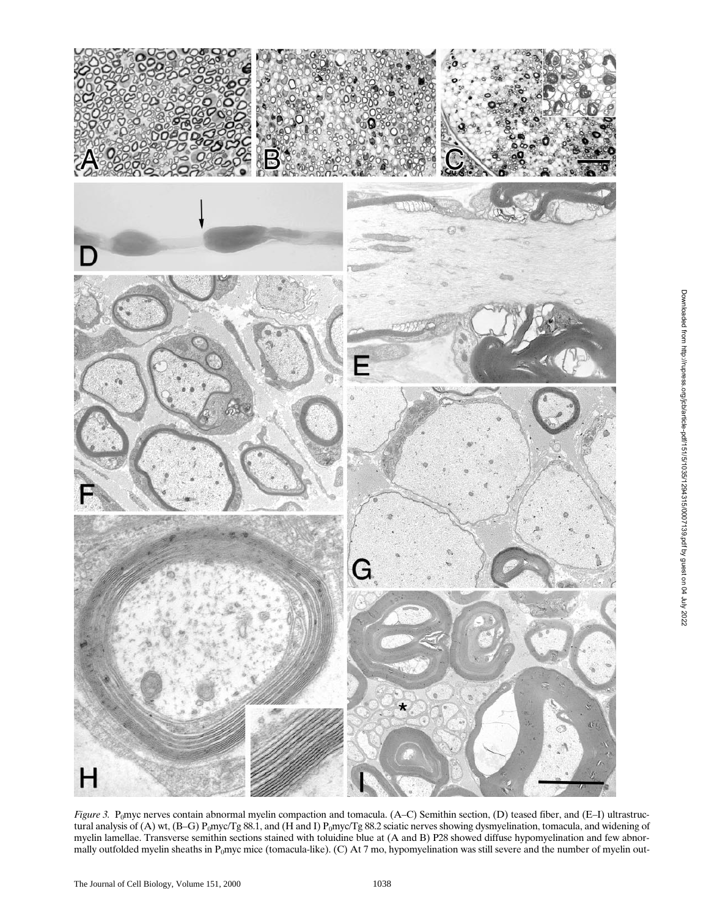

*Figure 3.* P<sub>0</sub>myc nerves contain abnormal myelin compaction and tomacula. (A–C) Semithin section, (D) teased fiber, and (E–I) ultrastructural analysis of (A) wt, (B-G) P<sub>0</sub>myc/Tg 88.1, and (H and I) P<sub>0</sub>myc/Tg 88.2 sciatic nerves showing dysmyelination, tomacula, and widening of myelin lamellae. Transverse semithin sections stained with toluidine blue at (A and B) P28 showed diffuse hypomyelination and few abnormally outfolded myelin sheaths in P<sub>0</sub>myc mice (tomacula-like). (C) At 7 mo, hypomyelination was still severe and the number of myelin out-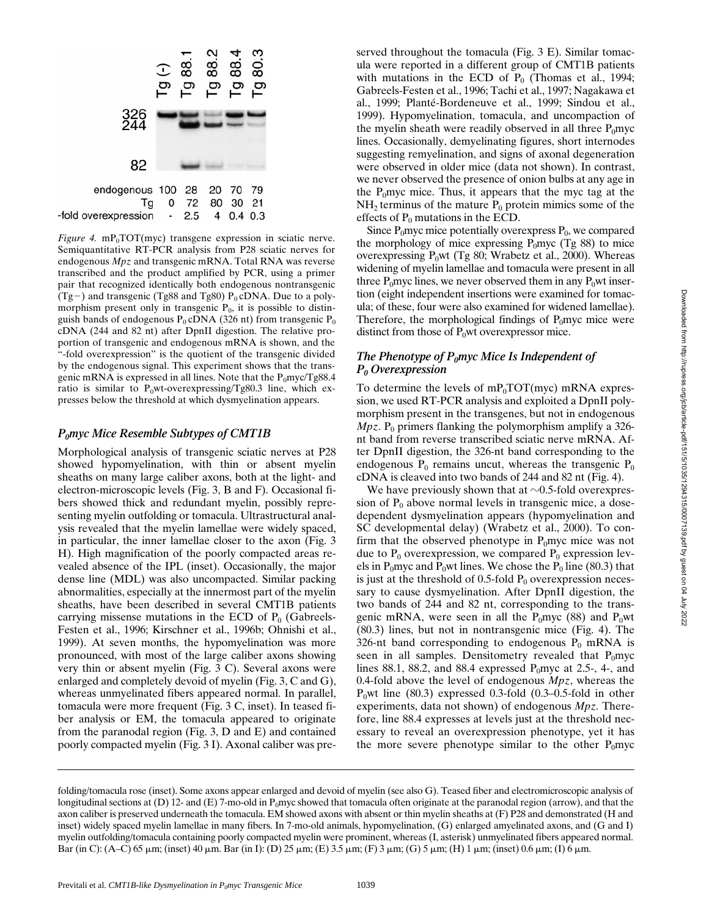

*Figure 4.* mP<sub>0</sub>TOT(myc) transgene expression in sciatic nerve. Semiquantitative RT-PCR analysis from P28 sciatic nerves for endogenous *Mpz* and transgenic mRNA. Total RNA was reverse transcribed and the product amplified by PCR, using a primer pair that recognized identically both endogenous nontransgenic (Tg-) and transgenic (Tg88 and Tg80)  $P_0$  cDNA. Due to a polymorphism present only in transgenic  $P_0$ , it is possible to distinguish bands of endogenous  $P_0$  cDNA (326 nt) from transgenic  $P_0$ cDNA (244 and 82 nt) after DpnII digestion. The relative proportion of transgenic and endogenous mRNA is shown, and the -fold overexpression" is the quotient of the transgenic divided by the endogenous signal. This experiment shows that the transgenic mRNA is expressed in all lines. Note that the  $P_0$ myc/Tg88.4 ratio is similar to  $P_0$ wt-overexpressing/Tg80.3 line, which expresses below the threshold at which dysmyelination appears.

#### *P0myc Mice Resemble Subtypes of CMT1B*

Morphological analysis of transgenic sciatic nerves at P28 showed hypomyelination, with thin or absent myelin sheaths on many large caliber axons, both at the light- and electron-microscopic levels (Fig. 3, B and F). Occasional fibers showed thick and redundant myelin, possibly representing myelin outfolding or tomacula. Ultrastructural analysis revealed that the myelin lamellae were widely spaced, in particular, the inner lamellae closer to the axon (Fig. 3 H). High magnification of the poorly compacted areas revealed absence of the IPL (inset). Occasionally, the major dense line (MDL) was also uncompacted. Similar packing abnormalities, especially at the innermost part of the myelin sheaths, have been described in several CMT1B patients carrying missense mutations in the ECD of  $P_0$  (Gabreels-Festen et al., 1996; Kirschner et al., 1996b; Ohnishi et al., 1999). At seven months, the hypomyelination was more pronounced, with most of the large caliber axons showing very thin or absent myelin (Fig. 3 C). Several axons were enlarged and completely devoid of myelin (Fig. 3, C and G), whereas unmyelinated fibers appeared normal. In parallel, tomacula were more frequent (Fig. 3 C, inset). In teased fiber analysis or EM, the tomacula appeared to originate from the paranodal region (Fig. 3, D and E) and contained poorly compacted myelin (Fig. 3 I). Axonal caliber was preserved throughout the tomacula (Fig. 3 E). Similar tomacula were reported in a different group of CMT1B patients with mutations in the ECD of  $P_0$  (Thomas et al., 1994; Gabreels-Festen et al., 1996; Tachi et al., 1997; Nagakawa et al., 1999; Planté-Bordeneuve et al., 1999; Sindou et al., 1999). Hypomyelination, tomacula, and uncompaction of the myelin sheath were readily observed in all three  $P_0$ myc lines. Occasionally, demyelinating figures, short internodes suggesting remyelination, and signs of axonal degeneration were observed in older mice (data not shown). In contrast, we never observed the presence of onion bulbs at any age in the  $P_0$ myc mice. Thus, it appears that the myc tag at the  $NH<sub>2</sub>$  terminus of the mature  $P<sub>0</sub>$  protein mimics some of the effects of  $P_0$  mutations in the ECD.

Since  $P_0$ myc mice potentially overexpress  $P_0$ , we compared the morphology of mice expressing  $P_0$ myc (Tg 88) to mice overexpressing  $P_0wt$  (Tg 80; Wrabetz et al., 2000). Whereas widening of myelin lamellae and tomacula were present in all three  $P_0$ myc lines, we never observed them in any  $P_0$ wt insertion (eight independent insertions were examined for tomacula; of these, four were also examined for widened lamellae). Therefore, the morphological findings of  $P_0$ myc mice were distinct from those of  $P_0$ wt overexpressor mice.

## *The Phenotype of P<sub>0</sub>myc Mice Is Independent of P0 Overexpression*

To determine the levels of  $mP_0TOT(myc)$  mRNA expression, we used RT-PCR analysis and exploited a DpnII polymorphism present in the transgenes, but not in endogenous  $Mpz$ . P<sub>0</sub> primers flanking the polymorphism amplify a 326nt band from reverse transcribed sciatic nerve mRNA. After DpnII digestion, the 326-nt band corresponding to the endogenous  $P_0$  remains uncut, whereas the transgenic  $P_0$ cDNA is cleaved into two bands of 244 and 82 nt (Fig. 4).

We have previously shown that at  $\sim 0.5$ -fold overexpression of  $P_0$  above normal levels in transgenic mice, a dosedependent dysmyelination appears (hypomyelination and SC developmental delay) (Wrabetz et al., 2000). To confirm that the observed phenotype in  $P_0$ myc mice was not due to  $P_0$  overexpression, we compared  $P_0$  expression levels in P<sub>0</sub>myc and P<sub>0</sub>wt lines. We chose the P<sub>0</sub> line (80.3) that is just at the threshold of 0.5-fold  $P_0$  overexpression necessary to cause dysmyelination. After DpnII digestion, the two bands of 244 and 82 nt, corresponding to the transgenic mRNA, were seen in all the  $P_0$ myc (88) and  $P_0$ wt (80.3) lines, but not in nontransgenic mice (Fig. 4). The 326-nt band corresponding to endogenous  $P_0$  mRNA is seen in all samples. Densitometry revealed that  $P_0$ myc lines 88.1, 88.2, and 88.4 expressed  $P_0$ myc at 2.5-, 4-, and 0.4-fold above the level of endogenous *Mpz*, whereas the  $P_0$ wt line (80.3) expressed 0.3-fold (0.3–0.5-fold in other experiments, data not shown) of endogenous *Mpz.* Therefore, line 88.4 expresses at levels just at the threshold necessary to reveal an overexpression phenotype, yet it has the more severe phenotype similar to the other  $P_0$ myc

folding/tomacula rose (inset). Some axons appear enlarged and devoid of myelin (see also G). Teased fiber and electromicroscopic analysis of longitudinal sections at (D) 12- and (E) 7-mo-old in P<sub>0</sub>myc showed that tomacula often originate at the paranodal region (arrow), and that the axon caliber is preserved underneath the tomacula. EM showed axons with absent or thin myelin sheaths at (F) P28 and demonstrated (H and inset) widely spaced myelin lamellae in many fibers. In 7-mo-old animals, hypomyelination, (G) enlarged amyelinated axons, and (G and I) myelin outfolding/tomacula containing poorly compacted myelin were prominent, whereas (I, asterisk) unmyelinated fibers appeared normal. Bar (in C): (A–C) 65  $\mu$ m; (inset) 40  $\mu$ m. Bar (in I): (D) 25  $\mu$ m; (E) 3.5  $\mu$ m; (F) 3  $\mu$ m; (G) 5  $\mu$ m; (H) 1  $\mu$ m; (inset) 0.6  $\mu$ m; (I) 6  $\mu$ m.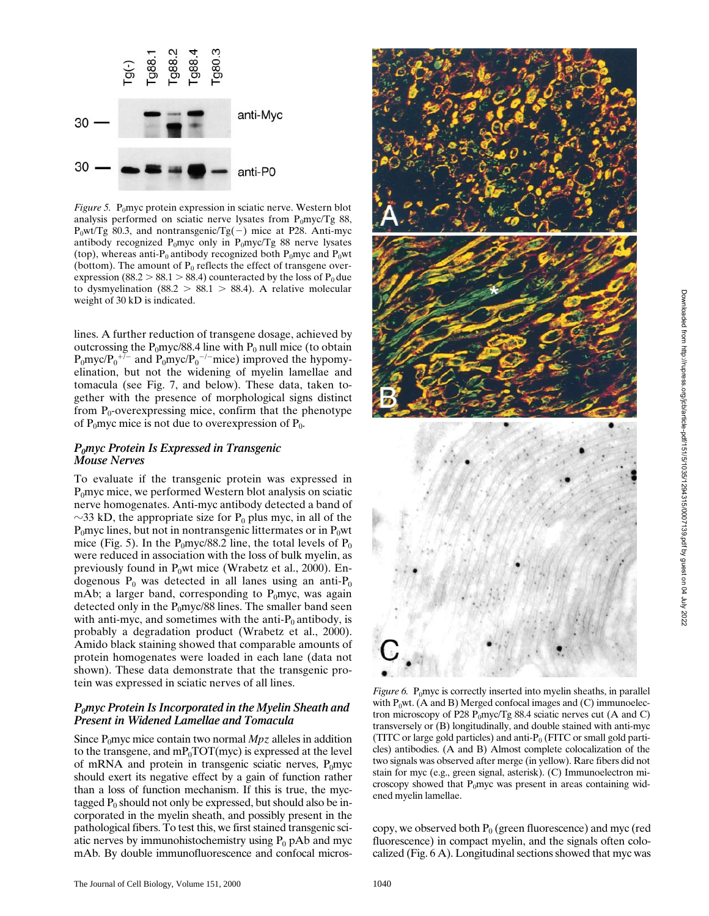

*Figure 5.* P<sub>0</sub>myc protein expression in sciatic nerve. Western blot analysis performed on sciatic nerve lysates from  $P_0$ myc/Tg 88,  $P_0wt/Tg$  80.3, and nontransgenic/Tg(-) mice at P28. Anti-myc antibody recognized P<sub>0</sub>myc only in P<sub>0</sub>myc/Tg 88 nerve lysates (top), whereas anti- $P_0$  antibody recognized both  $P_0$ myc and  $P_0$ wt (bottom). The amount of  $P_0$  reflects the effect of transgene overexpression (88.2 > 88.1 > 88.4) counteracted by the loss of  $P_0$  due to dysmyelination (88.2 > 88.1 > 88.4). A relative molecular weight of 30 kD is indicated.

lines. A further reduction of transgene dosage, achieved by outcrossing the  $P_0$ myc/88.4 line with  $P_0$  null mice (to obtain  $P_0$ myc/ $P_0$ <sup>+/-</sup> and  $P_0$ myc/ $P_0$ <sup>-/-</sup>mice) improved the hypomyelination, but not the widening of myelin lamellae and tomacula (see Fig. 7, and below). These data, taken together with the presence of morphological signs distinct from  $P_0$ -overexpressing mice, confirm that the phenotype of  $P_0$ myc mice is not due to overexpression of  $P_0$ .

#### *P0myc Protein Is Expressed in Transgenic Mouse Nerves*

To evaluate if the transgenic protein was expressed in  $P_0$ myc mice, we performed Western blot analysis on sciatic nerve homogenates. Anti-myc antibody detected a band of  $\sim$ 33 kD, the appropriate size for P<sub>0</sub> plus myc, in all of the  $P_0$ myc lines, but not in nontransgenic littermates or in  $P_0$ wt mice (Fig. 5). In the  $P_0$ myc/88.2 line, the total levels of  $P_0$ were reduced in association with the loss of bulk myelin, as previously found in  $P_0$ wt mice (Wrabetz et al., 2000). Endogenous  $P_0$  was detected in all lanes using an anti- $P_0$ mAb; a larger band, corresponding to  $P_0$ myc, was again detected only in the  $P_0$ myc/88 lines. The smaller band seen with anti-myc, and sometimes with the anti- $P_0$  antibody, is probably a degradation product (Wrabetz et al., 2000). Amido black staining showed that comparable amounts of protein homogenates were loaded in each lane (data not shown). These data demonstrate that the transgenic protein was expressed in sciatic nerves of all lines.

#### *P0myc Protein Is Incorporated in the Myelin Sheath and Present in Widened Lamellae and Tomacula*

Since  $P_0$ myc mice contain two normal  $Mpz$  alleles in addition to the transgene, and  $mP_0 \text{TOT}(\text{myc})$  is expressed at the level of mRNA and protein in transgenic sciatic nerves,  $P_0$ myc should exert its negative effect by a gain of function rather than a loss of function mechanism. If this is true, the myctagged  $P_0$  should not only be expressed, but should also be incorporated in the myelin sheath, and possibly present in the pathological fibers. To test this, we first stained transgenic sciatic nerves by immunohistochemistry using  $P_0$  pAb and myc mAb. By double immunofluorescence and confocal micros-



*Figure 6.* P<sub>0</sub>myc is correctly inserted into myelin sheaths, in parallel with  $P_0$ wt. (A and B) Merged confocal images and (C) immunoelectron microscopy of P28 P<sub>0</sub>myc/Tg 88.4 sciatic nerves cut (A and C) transversely or (B) longitudinally, and double stained with anti-myc (TITC or large gold particles) and anti- $P_0$  (FITC or small gold particles) antibodies. (A and B) Almost complete colocalization of the two signals was observed after merge (in yellow). Rare fibers did not stain for myc (e.g., green signal, asterisk). (C) Immunoelectron microscopy showed that  $P_0$ myc was present in areas containing widened myelin lamellae.

copy, we observed both  $P_0$  (green fluorescence) and myc (red fluorescence) in compact myelin, and the signals often colocalized (Fig. 6 A). Longitudinal sections showed that myc was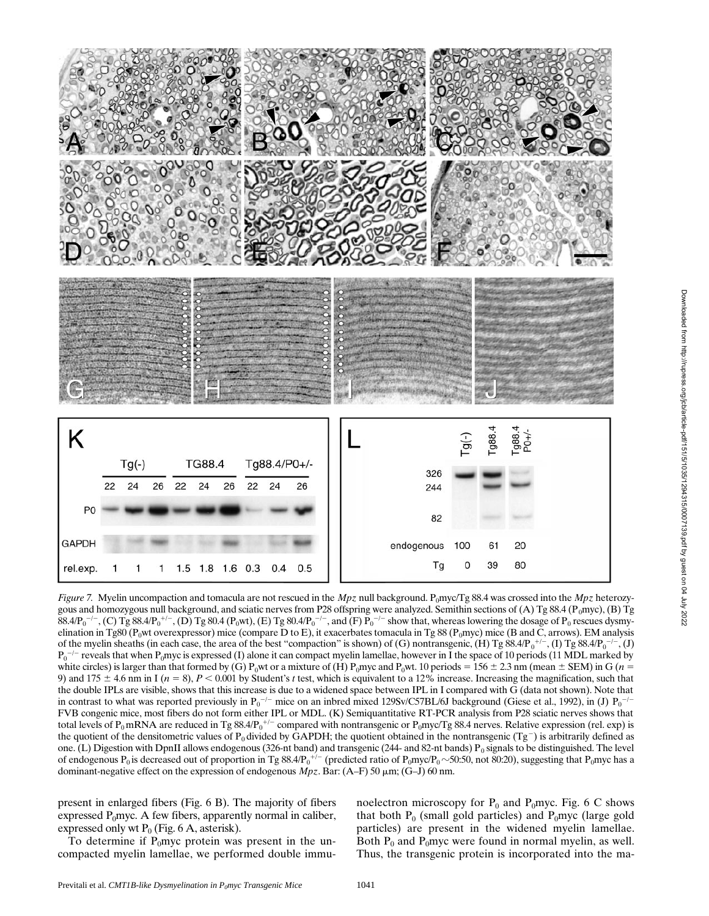

*Figure 7.* Myelin uncompaction and tomacula are not rescued in the  $Mpz$  null background. P<sub>0</sub>myc/Tg 88.4 was crossed into the  $Mpz$  heterozygous and homozygous null background, and sciatic nerves from P28 offspring were analyzed. Semithin sections of (A) Tg 88.4 ( $P_0$ myc), (B) Tg  $88.4/P_0^{-/-}$ , (C) Tg  $88.4/P_0^{+/-}$ , (D) Tg  $80.4$  (P<sub>0</sub>wt), (E) Tg  $80.4/P_0^{-/-}$ , and (F)  $P_0^{-/-}$  show that, whereas lowering the dosage of  $P_0$  rescues dysmyelination in Tg80 (P<sub>0</sub>wt overexpressor) mice (compare D to E), it exacerbates tomacula in Tg 88 (P<sub>0</sub>myc) mice (B and C, arrows). EM analysis of the myelin sheaths (in each case, the area of the best "compaction" is shown) of (G) nontransgenic, (H) Tg 88.4/P<sub>0</sub><sup>+/-</sup>, (I) Tg 88.4/P<sub>0</sub><sup>-/-</sup>, (J)  $P_0^{-/-}$  reveals that when  $P_0$ myc is expressed (I) alone it can compact myelin lamellae, however in I the space of 10 periods (11 MDL marked by white circles) is larger than that formed by (G) P<sub>0</sub>wt or a mixture of (H) P<sub>0</sub>myc and P<sub>0</sub>wt. 10 periods = 156  $\pm$  2.3 nm (mean  $\pm$  SEM) in G (*n* = 9) and 175  $\pm$  4.6 nm in I ( $n = 8$ ),  $P < 0.001$  by Student's *t* test, which is equivalent to a 12% increase. Increasing the magnification, such that the double IPLs are visible, shows that this increase is due to a widened space between IPL in I compared with G (data not shown). Note that in contrast to what was reported previously in  $P_0^{-/-}$  mice on an inbred mixed 129Sv/C57BL/6J background (Giese et al., 1992), in (J)  $P_0^{-/-}$ FVB congenic mice, most fibers do not form either IPL or MDL. (K) Semiquantitative RT-PCR analysis from P28 sciatic nerves shows that total levels of  $P_0$ mRNA are reduced in Tg 88.4/ $P_0^{+/-}$  compared with nontransgenic or  $P_0$ myc/Tg 88.4 nerves. Relative expression (rel. exp) is the quotient of the densitometric values of  $P_0$  divided by GAPDH; the quotient obtained in the nontransgenic (Tg<sup>-</sup>) is arbitrarily defined as one. (L) Digestion with DpnII allows endogenous (326-nt band) and transgenic (244- and 82-nt bands)  $P_0$  signals to be distinguished. The level of endogenous  $P_0$  is decreased out of proportion in Tg  $88.4/P_0$ <sup>+/-</sup> (predicted ratio of  $P_0$ myc/ $P_0 \sim$ 50:50, not 80:20), suggesting that  $P_0$ myc has a dominant-negative effect on the expression of endogenous *Mpz*. Bar: (A–F) 50 mm; (G–J) 60 nm.

present in enlarged fibers (Fig. 6 B). The majority of fibers expressed  $P_0$ myc. A few fibers, apparently normal in caliber, expressed only wt  $P_0$  (Fig. 6 A, asterisk).

To determine if  $P_0$ myc protein was present in the uncompacted myelin lamellae, we performed double immu-

noelectron microscopy for  $P_0$  and  $P_0$ myc. Fig. 6 C shows that both  $P_0$  (small gold particles) and  $P_0$ myc (large gold particles) are present in the widened myelin lamellae. Both  $P_0$  and  $P_0$ myc were found in normal myelin, as well. Thus, the transgenic protein is incorporated into the ma-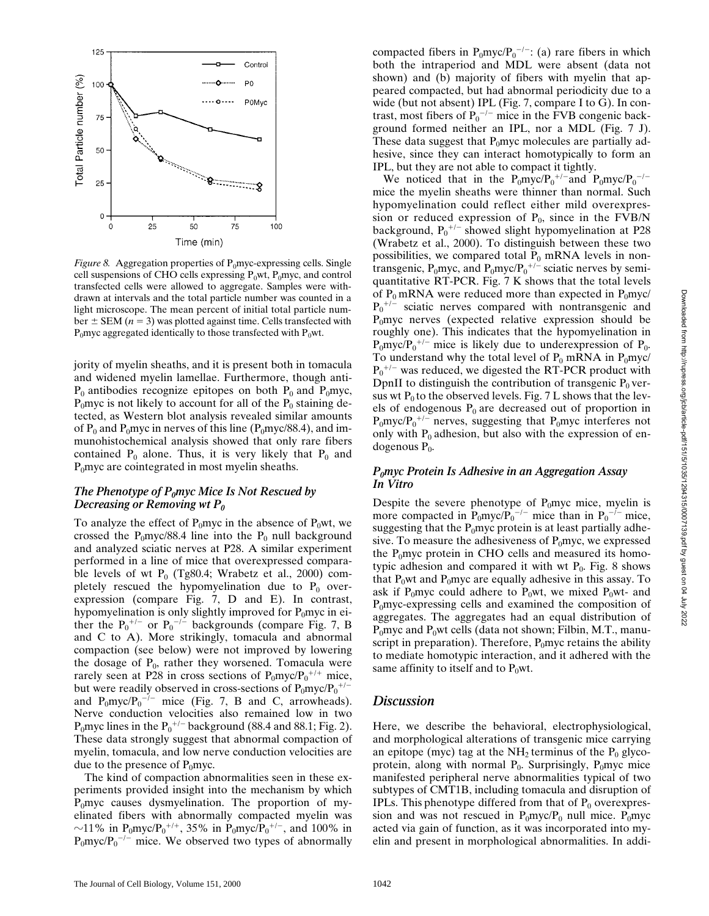Downloaded from http://rupress.org/jcb/article-pdf/151/5/1035/1294315/0007139.pdf by guest on 04 July 2022

Downloaded from http://rupress.org/jcb/article-pdf/15/1035/1294315/0007139.pdf by guest on 04 July 2022



*Figure 8.* Aggregation properties of  $P_0$ myc-expressing cells. Single cell suspensions of CHO cells expressing  $P_0wt$ ,  $P_0mvc$ , and control transfected cells were allowed to aggregate. Samples were withdrawn at intervals and the total particle number was counted in a light microscope. The mean percent of initial total particle number  $\pm$  SEM ( $n = 3$ ) was plotted against time. Cells transfected with  $P_0$ myc aggregated identically to those transfected with  $P_0$ wt.

jority of myelin sheaths, and it is present both in tomacula and widened myelin lamellae. Furthermore, though anti- $P_0$  antibodies recognize epitopes on both  $P_0$  and  $P_0$ myc,  $P_0$ myc is not likely to account for all of the  $P_0$  staining detected, as Western blot analysis revealed similar amounts of  $P_0$  and  $P_0$ myc in nerves of this line ( $P_0$ myc/88.4), and immunohistochemical analysis showed that only rare fibers contained  $P_0$  alone. Thus, it is very likely that  $P_0$  and  $P_0$ myc are cointegrated in most myelin sheaths.

## *The Phenotype of P<sub>0</sub>myc Mice Is Not Rescued by Decreasing or Removing wt P0*

To analyze the effect of  $P_0$ myc in the absence of  $P_0$ wt, we crossed the  $P_0$ myc/88.4 line into the  $P_0$  null background and analyzed sciatic nerves at P28. A similar experiment performed in a line of mice that overexpressed comparable levels of wt  $P_0$  (Tg80.4; Wrabetz et al., 2000) completely rescued the hypomyelination due to  $P_0$  overexpression (compare Fig. 7, D and E). In contrast, hypomyelination is only slightly improved for  $P_0$ myc in either the  $P_0^{+/-}$  or  $P_0^{-/-}$  backgrounds (compare Fig. 7, B and C to A). More strikingly, tomacula and abnormal compaction (see below) were not improved by lowering the dosage of  $P_0$ , rather they worsened. Tomacula were rarely seen at P28 in cross sections of  $P_0$ myc/ $P_0^{+/+}$  mice, but were readily observed in cross-sections of  $P_0 m y c / P_0^{+/-}$ and  $P_0$ myc/ $P_0$ <sup>-/-</sup> mice (Fig. 7, B and C, arrowheads). Nerve conduction velocities also remained low in two P<sub>0</sub>myc lines in the  $P_0$ <sup>+/-</sup> background (88.4 and 88.1; Fig. 2). These data strongly suggest that abnormal compaction of myelin, tomacula, and low nerve conduction velocities are due to the presence of  $P_0$ myc.

The kind of compaction abnormalities seen in these experiments provided insight into the mechanism by which  $P_0$ myc causes dysmyelination. The proportion of myelinated fibers with abnormally compacted myelin was  $\sim$ 11% in P<sub>0</sub>myc/P<sub>0</sub><sup>+/+</sup>, 35% in P<sub>0</sub>myc/P<sub>0</sub><sup>+/-</sup>, and 100% in  $P_0$ myc/ $P_0$ <sup>-/-</sup> mice. We observed two types of abnormally

compacted fibers in  $P_0$ myc/ $P_0^{-/-}$ : (a) rare fibers in which both the intraperiod and MDL were absent (data not shown) and (b) majority of fibers with myelin that appeared compacted, but had abnormal periodicity due to a wide (but not absent) IPL (Fig. 7, compare I to G). In contrast, most fibers of  $P_0$ <sup>-/-</sup> mice in the FVB congenic background formed neither an IPL, nor a MDL (Fig. 7 J). These data suggest that  $P_0$ myc molecules are partially adhesive, since they can interact homotypically to form an IPL, but they are not able to compact it tightly.

We noticed that in the  $P_0$ myc/ $P_0^{-/-}$  and  $P_0$ myc/ $P_0^{-/-}$ mice the myelin sheaths were thinner than normal. Such hypomyelination could reflect either mild overexpression or reduced expression of  $P_0$ , since in the FVB/N background,  $P_0^{+/-}$  showed slight hypomyelination at P28 (Wrabetz et al., 2000). To distinguish between these two possibilities, we compared total  $P_0$  mRNA levels in nontransgenic, P<sub>0</sub>myc, and P<sub>0</sub>myc/P<sub>0</sub><sup>+/-</sup> sciatic nerves by semiquantitative RT-PCR. Fig. 7 K shows that the total levels of  $P_0$  mRNA were reduced more than expected in  $P_0$ myc/  $P_0$ <sup>+/-</sup> sciatic nerves compared with nontransgenic and  $P_0$ myc nerves (expected relative expression should be roughly one). This indicates that the hypomyelination in  $P_0$ myc/ $P_0$ <sup>+/-</sup> mice is likely due to underexpression of  $P_0$ . To understand why the total level of  $P_0$  mRNA in  $P_0$ myc/  $P_0$ <sup>+/-</sup> was reduced, we digested the RT-PCR product with DpnII to distinguish the contribution of transgenic  $P_0$  versus wt  $P_0$  to the observed levels. Fig. 7 L shows that the levels of endogenous  $P_0$  are decreased out of proportion in  $P_0$ myc/ $P_0$ <sup>+/-</sup> nerves, suggesting that P<sub>0</sub>myc interferes not only with  $P_0$  adhesion, but also with the expression of endogenous  $P_0$ .

## *P0myc Protein Is Adhesive in an Aggregation Assay In Vitro*

Despite the severe phenotype of  $P_0$ myc mice, myelin is more compacted in  $P_0$ myc/ $P_0$ <sup>-/-</sup> mice than in  $P_0$ <sup>-/-</sup> mice, suggesting that the  $P_0$ myc protein is at least partially adhesive. To measure the adhesiveness of  $P_0$ myc, we expressed the  $P_0$ myc protein in CHO cells and measured its homotypic adhesion and compared it with wt  $P_0$ . Fig. 8 shows that  $P_0$ wt and  $P_0$ myc are equally adhesive in this assay. To ask if P<sub>0</sub>myc could adhere to P<sub>0</sub>wt, we mixed P<sub>0</sub>wt- and  $P_0$ myc-expressing cells and examined the composition of aggregates. The aggregates had an equal distribution of  $P_0$ myc and  $P_0$ wt cells (data not shown; Filbin, M.T., manuscript in preparation). Therefore,  $P_0$ myc retains the ability to mediate homotypic interaction, and it adhered with the same affinity to itself and to  $P_0$ wt.

## *Discussion*

Here, we describe the behavioral, electrophysiological, and morphological alterations of transgenic mice carrying an epitope (myc) tag at the  $NH<sub>2</sub>$  terminus of the  $P<sub>0</sub>$  glycoprotein, along with normal  $P_0$ . Surprisingly,  $P_0$ myc mice manifested peripheral nerve abnormalities typical of two subtypes of CMT1B, including tomacula and disruption of IPLs. This phenotype differed from that of  $P_0$  overexpression and was not rescued in  $P_0$ myc/ $P_0$  null mice.  $P_0$ myc acted via gain of function, as it was incorporated into myelin and present in morphological abnormalities. In addi-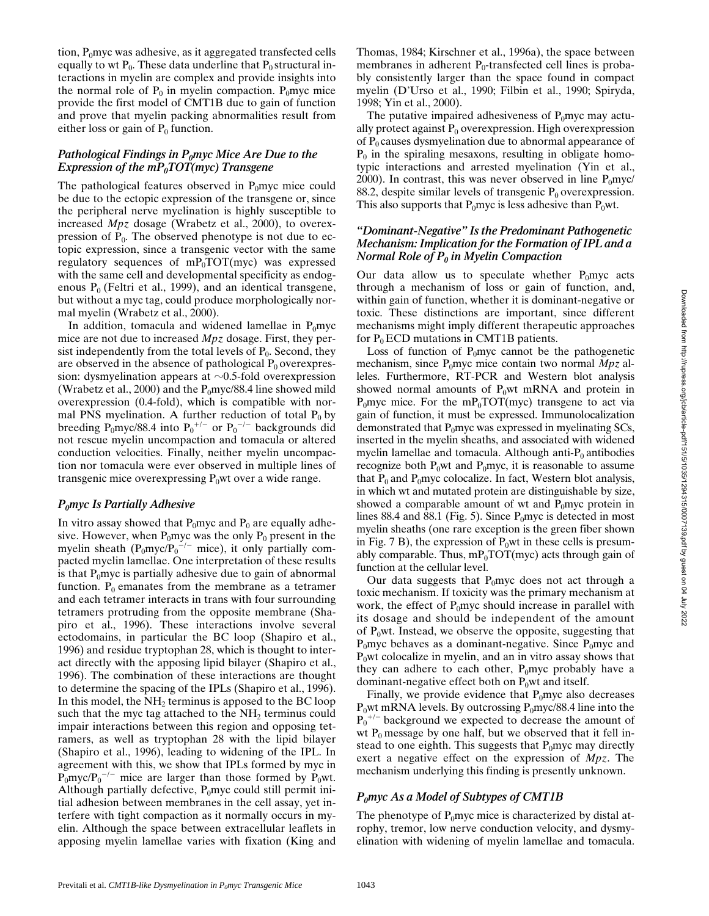tion,  $P_0$ myc was adhesive, as it aggregated transfected cells equally to wt  $P_0$ . These data underline that  $P_0$  structural interactions in myelin are complex and provide insights into the normal role of  $P_0$  in myelin compaction. P<sub>0</sub>myc mice provide the first model of CMT1B due to gain of function and prove that myelin packing abnormalities result from either loss or gain of  $P_0$  function.

### *Pathological Findings in P<sub>0</sub>myc Mice Are Due to the Expression of the mP<sub>0</sub>TOT(myc) Transgene*

The pathological features observed in  $P_0$ myc mice could be due to the ectopic expression of the transgene or, since the peripheral nerve myelination is highly susceptible to increased *Mpz* dosage (Wrabetz et al., 2000), to overexpression of  $P_0$ . The observed phenotype is not due to ectopic expression, since a transgenic vector with the same regulatory sequences of  $mP_0 \text{TOT}(\text{myc})$  was expressed with the same cell and developmental specificity as endogenous  $P_0$  (Feltri et al., 1999), and an identical transgene, but without a myc tag, could produce morphologically normal myelin (Wrabetz et al., 2000).

In addition, tomacula and widened lamellae in  $P_0$ myc mice are not due to increased *Mpz* dosage. First, they persist independently from the total levels of  $P_0$ . Second, they are observed in the absence of pathological  $P_0$  overexpression: dysmyelination appears at  $\sim 0.5$ -fold overexpression (Wrabetz et al., 2000) and the  $P_0$ myc/88.4 line showed mild overexpression (0.4-fold), which is compatible with normal PNS myelination. A further reduction of total  $P_0$  by breeding  $P_0$ myc/88.4 into  $P_0$ <sup>+/-</sup> or  $P_0$ <sup>-/-</sup> backgrounds did not rescue myelin uncompaction and tomacula or altered conduction velocities. Finally, neither myelin uncompaction nor tomacula were ever observed in multiple lines of transgenic mice overexpressing  $P_0$ wt over a wide range.

#### *P0myc Is Partially Adhesive*

In vitro assay showed that  $P_0$ myc and  $P_0$  are equally adhesive. However, when  $P_0$ myc was the only  $P_0$  present in the myelin sheath  $(P_0 \text{myc}/P_0^{-/-}$  mice), it only partially compacted myelin lamellae. One interpretation of these results is that  $P_0$ myc is partially adhesive due to gain of abnormal function.  $P_0$  emanates from the membrane as a tetramer and each tetramer interacts in trans with four surrounding tetramers protruding from the opposite membrane (Shapiro et al., 1996). These interactions involve several ectodomains, in particular the BC loop (Shapiro et al., 1996) and residue tryptophan 28, which is thought to interact directly with the apposing lipid bilayer (Shapiro et al., 1996). The combination of these interactions are thought to determine the spacing of the IPLs (Shapiro et al., 1996). In this model, the  $NH<sub>2</sub>$  terminus is apposed to the BC loop such that the myc tag attached to the  $NH<sub>2</sub>$  terminus could impair interactions between this region and opposing tetramers, as well as tryptophan 28 with the lipid bilayer (Shapiro et al., 1996), leading to widening of the IPL. In agreement with this, we show that IPLs formed by myc in  $P_0$ myc/ $P_0$ <sup>-/-</sup> mice are larger than those formed by  $P_0$ wt. Although partially defective,  $P_0$ myc could still permit initial adhesion between membranes in the cell assay, yet interfere with tight compaction as it normally occurs in myelin. Although the space between extracellular leaflets in apposing myelin lamellae varies with fixation (King and

Thomas, 1984; Kirschner et al., 1996a), the space between membranes in adherent  $P_0$ -transfected cell lines is probably consistently larger than the space found in compact myelin (D'Urso et al., 1990; Filbin et al., 1990; Spiryda, 1998; Yin et al., 2000).

The putative impaired adhesiveness of  $P_0$ myc may actually protect against  $P_0$  overexpression. High overexpression of  $P_0$  causes dysmyelination due to abnormal appearance of  $P_0$  in the spiraling mesaxons, resulting in obligate homotypic interactions and arrested myelination (Yin et al., 2000). In contrast, this was never observed in line  $P_0$ myc/ 88.2, despite similar levels of transgenic  $P_0$  overexpression. This also supports that  $P_0$ myc is less adhesive than  $P_0$ wt.

### *"Dominant-Negative" Is the Predominant Pathogenetic Mechanism: Implication for the Formation of IPL and a Normal Role of P<sub>0</sub> in Myelin Compaction*

Our data allow us to speculate whether  $P_0$ myc acts through a mechanism of loss or gain of function, and, within gain of function, whether it is dominant-negative or toxic. These distinctions are important, since different mechanisms might imply different therapeutic approaches for  $P_0$  ECD mutations in CMT1B patients.

Loss of function of  $P_0$ myc cannot be the pathogenetic mechanism, since P<sub>0</sub>myc mice contain two normal *Mpz* alleles. Furthermore, RT-PCR and Western blot analysis showed normal amounts of  $P_0$ wt mRNA and protein in  $P_0$ myc mice. For the m $P_0 \text{TOT(myc)}$  transgene to act via gain of function, it must be expressed. Immunolocalization demonstrated that  $P_0$ myc was expressed in myelinating SCs, inserted in the myelin sheaths, and associated with widened myelin lamellae and tomacula. Although anti- $P_0$  antibodies recognize both  $P_0$ wt and  $P_0$ myc, it is reasonable to assume that  $P_0$  and  $P_0$ myc colocalize. In fact, Western blot analysis, in which wt and mutated protein are distinguishable by size, showed a comparable amount of wt and  $P_0$ myc protein in lines 88.4 and 88.1 (Fig. 5). Since  $P_0$ myc is detected in most myelin sheaths (one rare exception is the green fiber shown in Fig. 7 B), the expression of  $P_0$ wt in these cells is presumably comparable. Thus,  $mP_0TOT(myc)$  acts through gain of function at the cellular level.

Our data suggests that  $P_0$ myc does not act through a toxic mechanism. If toxicity was the primary mechanism at work, the effect of  $P_0$ myc should increase in parallel with its dosage and should be independent of the amount of  $P_0$ wt. Instead, we observe the opposite, suggesting that  $P_0$ myc behaves as a dominant-negative. Since  $P_0$ myc and  $P_0$ wt colocalize in myelin, and an in vitro assay shows that they can adhere to each other,  $P_0$ myc probably have a dominant-negative effect both on  $P_0$ wt and itself.

Finally, we provide evidence that  $P_0$ myc also decreases  $P_0$ wt mRNA levels. By outcrossing  $P_0$ myc/88.4 line into the  $P_0$ <sup>+/-</sup> background we expected to decrease the amount of wt  $P_0$  message by one half, but we observed that it fell instead to one eighth. This suggests that  $P_0$ myc may directly exert a negative effect on the expression of *Mpz*. The mechanism underlying this finding is presently unknown.

#### *P0myc As a Model of Subtypes of CMT1B*

The phenotype of  $P_0$ myc mice is characterized by distal atrophy, tremor, low nerve conduction velocity, and dysmyelination with widening of myelin lamellae and tomacula.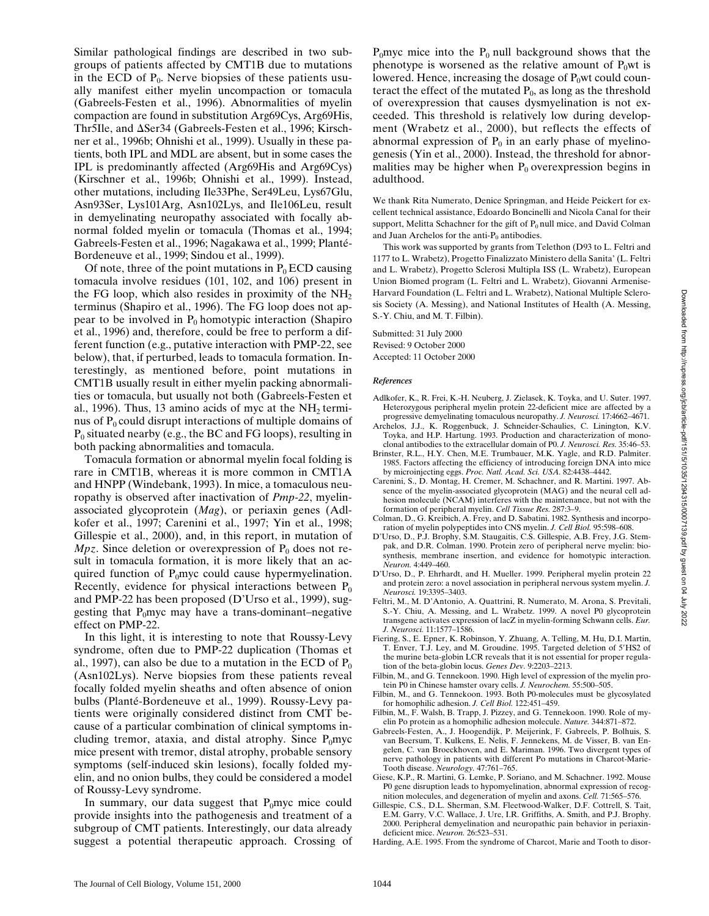Similar pathological findings are described in two subgroups of patients affected by CMT1B due to mutations in the ECD of  $P_0$ . Nerve biopsies of these patients usually manifest either myelin uncompaction or tomacula (Gabreels-Festen et al., 1996). Abnormalities of myelin compaction are found in substitution Arg69Cys, Arg69His, Thr5Ile, and  $\Delta$ Ser34 (Gabreels-Festen et al., 1996; Kirschner et al., 1996b; Ohnishi et al., 1999). Usually in these patients, both IPL and MDL are absent, but in some cases the IPL is predominantly affected (Arg69His and Arg69Cys) (Kirschner et al., 1996b; Ohnishi et al., 1999). Instead, other mutations, including Ile33Phe, Ser49Leu, Lys67Glu, Asn93Ser, Lys101Arg, Asn102Lys, and Ile106Leu, result in demyelinating neuropathy associated with focally abnormal folded myelin or tomacula (Thomas et al., 1994; Gabreels-Festen et al., 1996; Nagakawa et al., 1999; Planté-Bordeneuve et al., 1999; Sindou et al., 1999). Of note, three of the point mutations in  $P_0$  ECD causing

tomacula involve residues (101, 102, and 106) present in the FG loop, which also resides in proximity of the  $NH<sub>2</sub>$ terminus (Shapiro et al., 1996). The FG loop does not appear to be involved in  $P_0$  homotypic interaction (Shapiro et al., 1996) and, therefore, could be free to perform a different function (e.g., putative interaction with PMP-22, see below), that, if perturbed, leads to tomacula formation. Interestingly, as mentioned before, point mutations in CMT1B usually result in either myelin packing abnormalities or tomacula, but usually not both (Gabreels-Festen et al., 1996). Thus, 13 amino acids of myc at the  $NH<sub>2</sub>$  terminus of  $P_0$  could disrupt interactions of multiple domains of  $P_0$  situated nearby (e.g., the BC and FG loops), resulting in both packing abnormalities and tomacula.

Tomacula formation or abnormal myelin focal folding is rare in CMT1B, whereas it is more common in CMT1A and HNPP (Windebank, 1993). In mice, a tomaculous neuropathy is observed after inactivation of *Pmp-22*, myelinassociated glycoprotein (*Mag*), or periaxin genes (Adlkofer et al., 1997; Carenini et al., 1997; Yin et al., 1998; Gillespie et al., 2000), and, in this report, in mutation of *Mpz*. Since deletion or overexpression of  $P_0$  does not result in tomacula formation, it is more likely that an acquired function of  $P_0$ myc could cause hypermyelination. Recently, evidence for physical interactions between  $P_0$ and PMP-22 has been proposed (D'Urso et al., 1999), suggesting that  $P_0$ myc may have a trans-dominant–negative effect on PMP-22.

In this light, it is interesting to note that Roussy-Levy syndrome, often due to PMP-22 duplication (Thomas et al., 1997), can also be due to a mutation in the ECD of  $P_0$ (Asn102Lys). Nerve biopsies from these patients reveal focally folded myelin sheaths and often absence of onion bulbs (Planté-Bordeneuve et al., 1999). Roussy-Levy patients were originally considered distinct from CMT because of a particular combination of clinical symptoms including tremor, ataxia, and distal atrophy. Since  $P_0$ myc mice present with tremor, distal atrophy, probable sensory symptoms (self-induced skin lesions), focally folded myelin, and no onion bulbs, they could be considered a model of Roussy-Levy syndrome.

In summary, our data suggest that  $P_0$ myc mice could provide insights into the pathogenesis and treatment of a subgroup of CMT patients. Interestingly, our data already suggest a potential therapeutic approach. Crossing of  $P_0$ myc mice into the  $P_0$  null background shows that the phenotype is worsened as the relative amount of  $P_0$ wt is lowered. Hence, increasing the dosage of  $P_0$ wt could counteract the effect of the mutated  $P_0$ , as long as the threshold of overexpression that causes dysmyelination is not exceeded. This threshold is relatively low during development (Wrabetz et al., 2000), but reflects the effects of abnormal expression of  $P_0$  in an early phase of myelinogenesis (Yin et al., 2000). Instead, the threshold for abnormalities may be higher when  $P_0$  overexpression begins in adulthood.

We thank Rita Numerato, Denice Springman, and Heide Peickert for excellent technical assistance, Edoardo Boncinelli and Nicola Canal for their support, Melitta Schachner for the gift of  $P_0$  null mice, and David Colman and Juan Archelos for the anti- $P_0$  antibodies.

This work was supported by grants from Telethon (D93 to L. Feltri and 1177 to L. Wrabetz), Progetto Finalizzato Ministero della Sanita' (L. Feltri and L. Wrabetz), Progetto Sclerosi Multipla ISS (L. Wrabetz), European Union Biomed program (L. Feltri and L. Wrabetz), Giovanni Armenise-Harvard Foundation (L. Feltri and L. Wrabetz), National Multiple Sclerosis Society (A. Messing), and National Institutes of Health (A. Messing, S.-Y. Chiu, and M. T. Filbin).

Submitted: 31 July 2000 Revised: 9 October 2000 Accepted: 11 October 2000

#### *References*

- Adlkofer, K., R. Frei, K.-H. Neuberg, J. Zielasek, K. Toyka, and U. Suter. 1997. Heterozygous peripheral myelin protein 22-deficient mice are affected by a progressive demyelinating tomaculous neuropathy. *J. Neurosci.* 17:4662–4671.
- Archelos, J.J., K. Roggenbuck, J. Schneider-Schaulies, C. Linington, K.V. Toyka, and H.P. Hartung. 1993. Production and characterization of monoclonal antibodies to the extracellular domain of P0. *J. Neurosci. Res.* 35:46–53.
- Brinster, R.L., H.Y. Chen, M.E. Trumbauer, M.K. Yagle, and R.D. Palmiter. 1985. Factors affecting the efficiency of introducing foreign DNA into mice by microinjecting eggs. *Proc. Natl. Acad. Sci. USA.* 82:4438–4442.
- Carenini, S., D. Montag, H. Cremer, M. Schachner, and R. Martini. 1997. Absence of the myelin-associated glycoprotein (MAG) and the neural cell adhesion molecule (NCAM) interferes with the maintenance, but not with the formation of peripheral myelin. *Cell Tissue Res.* 287:3–9.
- Colman, D., G. Kreibich, A. Frey, and D. Sabatini. 1982. Synthesis and incorporation of myelin polypeptides into CNS myelin. *J. Cell Biol.* 95:598–608.
- D'Urso, D., P.J. Brophy, S.M. Staugaitis, C.S. Gillespie, A.B. Frey, J.G. Stempak, and D.R. Colman. 1990. Protein zero of peripheral nerve myelin: biosynthesis, membrane insertion, and evidence for homotypic interaction. *Neuron.* 4:449–460.
- D'Urso, D., P. Ehrhardt, and H. Mueller. 1999. Peripheral myelin protein 22 and protein zero: a novel association in peripheral nervous system myelin. *J. Neurosci.* 19:3395–3403.
- Feltri, M., M. D'Antonio, A. Quattrini, R. Numerato, M. Arona, S. Previtali, S.-Y. Chiu, A. Messing, and L. Wrabetz. 1999. A novel P0 glycoprotein transgene activates expression of lacZ in myelin-forming Schwann cells. *Eur. J. Neurosci.* 11:1577–1586.
- Fiering, S., E. Epner, K. Robinson, Y. Zhuang, A. Telling, M. Hu, D.I. Martin, T. Enver, T.J. Ley, and M. Groudine. 1995. Targeted deletion of 5'HS2 of the murine beta-globin LCR reveals that it is not essential for proper regulation of the beta-globin locus. *Genes Dev.* 9:2203–2213.
- Filbin, M., and G. Tennekoon. 1990. High level of expression of the myelin protein P0 in Chinese hamster ovary cells. *J. Neurochem.* 55:500–505.
- Filbin, M., and G. Tennekoon. 1993. Both P0-molecules must be glycosylated for homophilic adhesion. *J. Cell Biol.* 122:451–459.
- Filbin, M., F. Walsh, B. Trapp, J. Pizzey, and G. Tennekoon. 1990. Role of myelin Po protein as a homophilic adhesion molecule. *Nature.* 344:871–872.
- Gabreels-Festen, A., J. Hoogendijk, P. Meijerink, F. Gabreels, P. Bolhuis, S. van Beersum, T. Kulkens, E. Nelis, F. Jennekens, M. de Visser, B. van Engelen, C. van Broeckhoven, and E. Mariman. 1996. Two divergent types of nerve pathology in patients with different Po mutations in Charcot-Marie-Tooth disease. *Neurology.* 47:761–765.
- Giese, K.P., R. Martini, G. Lemke, P. Soriano, and M. Schachner. 1992. Mouse P0 gene disruption leads to hypomyelination, abnormal expression of recognition molecules, and degeneration of myelin and axons. *Cell.* 71:565–576.
- Gillespie, C.S., D.L. Sherman, S.M. Fleetwood-Walker, D.F. Cottrell, S. Tait, E.M. Garry, V.C. Wallace, J. Ure, I.R. Griffiths, A. Smith, and P.J. Brophy. 2000. Peripheral demyelination and neuropathic pain behavior in periaxindeficient mice. *Neuron.* 26:523–531.
- Harding, A.E. 1995. From the syndrome of Charcot, Marie and Tooth to disor-